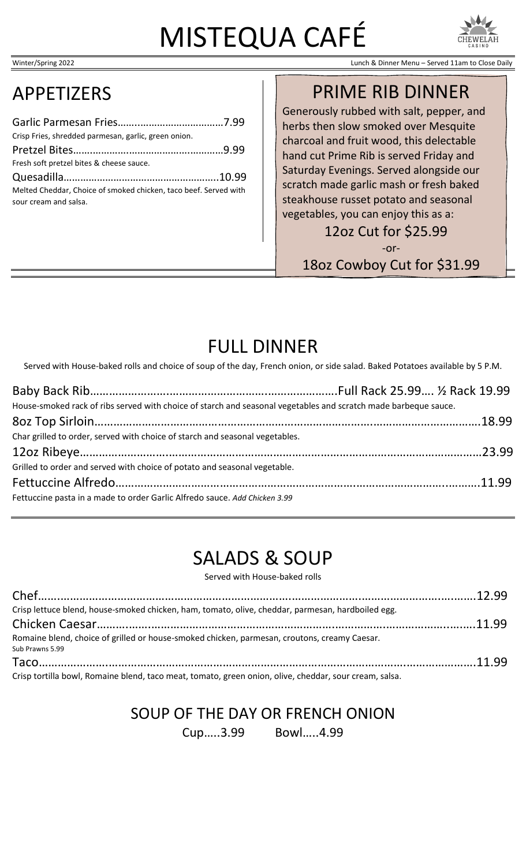# MISTEQUA CAFÉ





Winter/Spring 2022 Lunch & Dinner Menu – Served 11am to Close Daily

# APPETIZERS

| Crisp Fries, shredded parmesan, garlic, green onion.             |  |
|------------------------------------------------------------------|--|
|                                                                  |  |
| Fresh soft pretzel bites & cheese sauce.                         |  |
|                                                                  |  |
| Melted Cheddar, Choice of smoked chicken, taco beef. Served with |  |
| sour cream and salsa.                                            |  |

## PRIME RIB DINNER

Generously rubbed with salt, pepper, and herbs then slow smoked over Mesquite charcoal and fruit wood, this delectable hand cut Prime Rib is served Friday and Saturday Evenings. Served alongside our scratch made garlic mash or fresh baked steakhouse russet potato and seasonal vegetables, you can enjoy this as a:

12oz Cut for \$25.99

-or-

18oz Cowboy Cut for \$31.99

# FULL DINNER

Served with House-baked rolls and choice of soup of the day, French onion, or side salad. Baked Potatoes available by 5 P.M.

| House-smoked rack of ribs served with choice of starch and seasonal vegetables and scratch made barbeque sauce. |  |
|-----------------------------------------------------------------------------------------------------------------|--|
|                                                                                                                 |  |
| Char grilled to order, served with choice of starch and seasonal vegetables.                                    |  |
|                                                                                                                 |  |
| Grilled to order and served with choice of potato and seasonal vegetable.                                       |  |
|                                                                                                                 |  |
| Fettuccine pasta in a made to order Garlic Alfredo sauce. Add Chicken 3.99                                      |  |

# SALADS & SOUP

Served with House-baked rolls

| Crisp lettuce blend, house-smoked chicken, ham, tomato, olive, cheddar, parmesan, hardboiled egg.               |  |
|-----------------------------------------------------------------------------------------------------------------|--|
|                                                                                                                 |  |
| Romaine blend, choice of grilled or house-smoked chicken, parmesan, croutons, creamy Caesar.<br>Sub Prawns 5.99 |  |
|                                                                                                                 |  |
| Crisp tortilla bowl, Romaine blend, taco meat, tomato, green onion, olive, cheddar, sour cream, salsa.          |  |

## SOUP OF THE DAY OR FRENCH ONION

Cup…..3.99 Bowl…..4.99